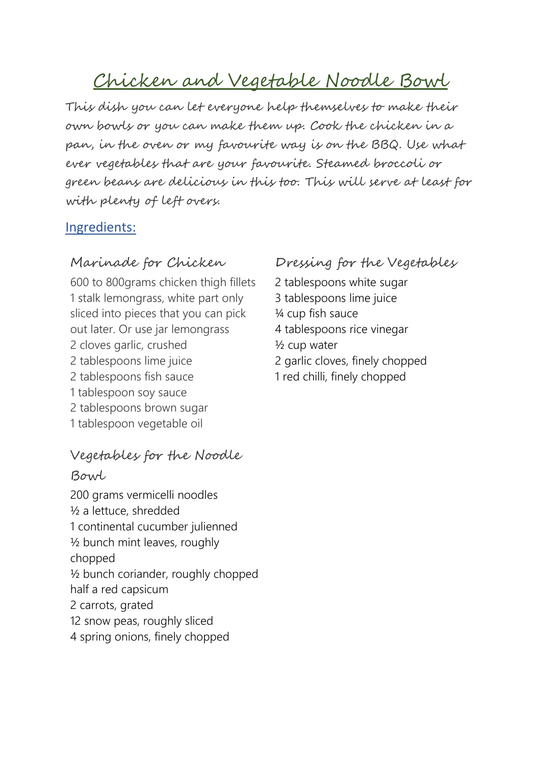# Chicken and Vegetable Noodle Bowl

This dish you can let everyone help themselves to make their own bowls or you can make them up. Cook the chicken in a pan, in the oven or my favourite way is on the BBQ. Use what ever vegetables that are your favourite. Steamed broccoli or green beans are delicious in this too. This will serve at least for with plenty of left overs.

## Ingredients:

## Marinade for Chicken

600 to 800grams chicken thigh fillets 1 stalk lemongrass, white part only sliced into pieces that you can pick out later. Or use jar lemongrass 2 cloves garlic, crushed 2 tablespoons lime juice 2 tablespoons fish sauce 1 tablespoon soy sauce 2 tablespoons brown sugar 1 tablespoon vegetable oil

## Vegetables for the Noodle

## Bowl

200 grams vermicelli noodles ½ a lettuce, shredded 1 continental cucumber julienned ½ bunch mint leaves, roughly chopped ½ bunch coriander, roughly chopped half a red capsicum 2 carrots, grated 12 snow peas, roughly sliced 4 spring onions, finely chopped

## Dressing for the Vegetables

2 tablespoons white sugar 3 tablespoons lime juice ¼ cup fish sauce 4 tablespoons rice vinegar ½ cup water 2 garlic cloves, finely chopped 1 red chilli, finely chopped